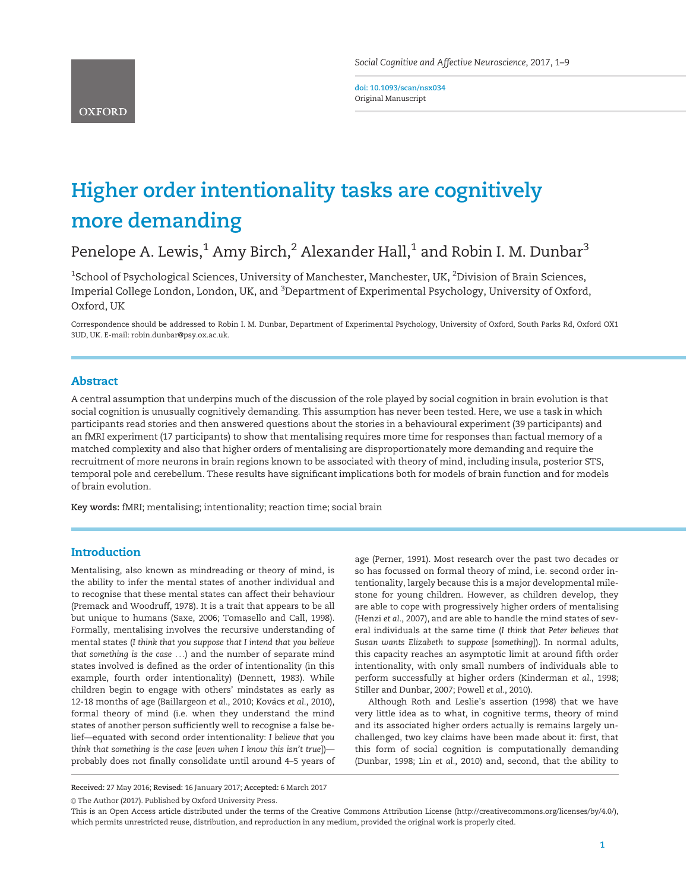doi: 10.1093/scan/nsx034 Original Manuscript

# Higher order intentionality tasks are cognitively more demanding

Penelope A. Lewis,<sup>1</sup> Amy Birch,<sup>2</sup> Alexander Hall,<sup>1</sup> and Robin I. M. Dunbar<sup>3</sup>

 $^{\rm 1}$ School of Psychological Sciences, University of Manchester, Manchester, UK,  $^{\rm 2}$ Division of Brain Sciences, Imperial College London, London, UK, and <sup>3</sup>Department of Experimental Psychology, University of Oxford, Oxford, UK

Correspondence should be addressed to Robin I. M. Dunbar, Department of Experimental Psychology, University of Oxford, South Parks Rd, Oxford OX1 3UD, UK. E-mail: robin.dunbar@psy.ox.ac.uk.

# Abstract

A central assumption that underpins much of the discussion of the role played by social cognition in brain evolution is that social cognition is unusually cognitively demanding. This assumption has never been tested. Here, we use a task in which participants read stories and then answered questions about the stories in a behavioural experiment (39 participants) and an fMRI experiment (17 participants) to show that mentalising requires more time for responses than factual memory of a matched complexity and also that higher orders of mentalising are disproportionately more demanding and require the recruitment of more neurons in brain regions known to be associated with theory of mind, including insula, posterior STS, temporal pole and cerebellum. These results have significant implications both for models of brain function and for models of brain evolution.

Key words: fMRI; mentalising; intentionality; reaction time; social brain

## Introduction

Mentalising, also known as mindreading or theory of mind, is the ability to infer the mental states of another individual and to recognise that these mental states can affect their behaviour [\(Premack and Woodruff, 1978\)](#page-8-0). It is a trait that appears to be all but unique to humans ([Saxe, 2006; Tomasello and Call, 1998\)](#page-8-0). Formally, mentalising involves the recursive understanding of mental states (I think that you suppose that I intend that you believe that something is the case ...) and the number of separate mind states involved is defined as the order of intentionality (in this example, fourth order intentionality) [\(Dennett, 1983](#page-7-0)). While children begin to engage with others' mindstates as early as 12-18 months of age [\(Baillargeon](#page-7-0) et al., 2010; [Kov](#page-7-0)ács et al.[, 2010\)](#page-7-0), formal theory of mind (i.e. when they understand the mind states of another person sufficiently well to recognise a false belief—equated with second order intentionality: I believe that you think that something is the case [even when I know this isn't true]) probably does not finally consolidate until around 4–5 years of

age ([Perner, 1991](#page-7-0)). Most research over the past two decades or so has focussed on formal theory of mind, i.e. second order intentionality, largely because this is a major developmental milestone for young children. However, as children develop, they are able to cope with progressively higher orders of mentalising [\(Henzi](#page-7-0) et al., 2007), and are able to handle the mind states of several individuals at the same time (I think that Peter believes that Susan wants Elizabeth to suppose [something]). In normal adults, this capacity reaches an asymptotic limit at around fifth order intentionality, with only small numbers of individuals able to perform successfully at higher orders ([Kinderman](#page-7-0) et al., 1998; [Stiller and Dunbar, 2007](#page-8-0); [Powell](#page-7-0) et al., 2010).

Although [Roth and Leslie's assertion \(1998\)](#page-8-0) that we have very little idea as to what, in cognitive terms, theory of mind and its associated higher orders actually is remains largely unchallenged, two key claims have been made about it: first, that this form of social cognition is computationally demanding [\(Dunbar, 1998;](#page-7-0) Lin et al.[, 2010\)](#page-7-0) and, second, that the ability to

Received: 27 May 2016; Revised: 16 January 2017; Accepted: 6 March 2017

© The Author (2017). Published by Oxford University Press.

This is an Open Access article distributed under the terms of the Creative Commons Attribution License (http://creativecommons.org/licenses/by/4.0/), which permits unrestricted reuse, distribution, and reproduction in any medium, provided the original work is properly cited.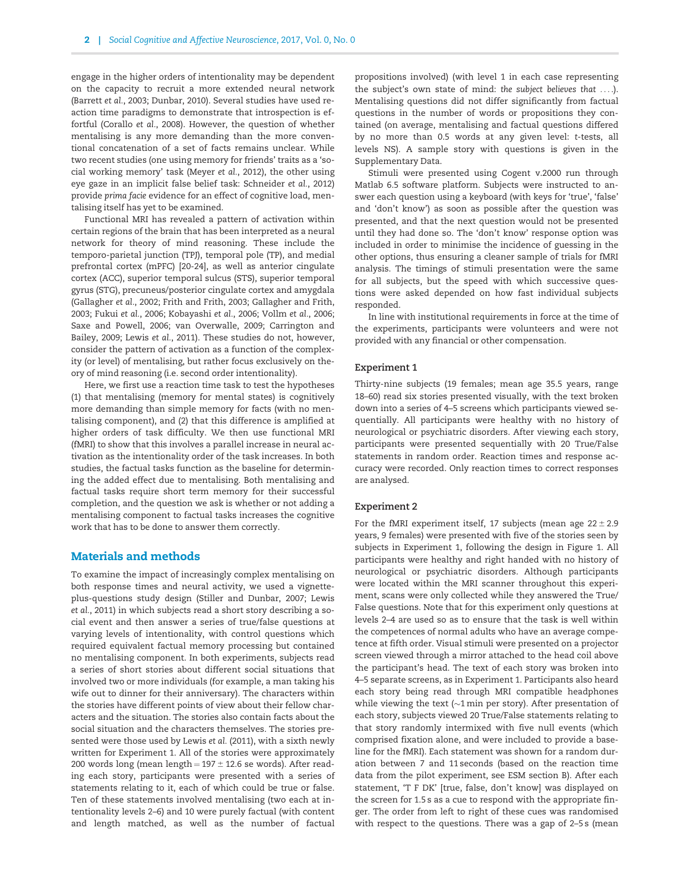engage in the higher orders of intentionality may be dependent on the capacity to recruit a more extended neural network [\(Barrett](#page-7-0) et al., 2003; [Dunbar, 2010\)](#page-7-0). Several studies have used reaction time paradigms to demonstrate that introspection is effortful ([Corallo](#page-7-0) et al., 2008). However, the question of whether mentalising is any more demanding than the more conventional concatenation of a set of facts remains unclear. While two recent studies (one using memory for friends' traits as a 'social working memory' task [\(Meyer](#page-7-0) et al., 2012), the other using eye gaze in an implicit false belief task: [Schneider](#page-8-0) et al., 2012) provide prima facie evidence for an effect of cognitive load, mentalising itself has yet to be examined.

Functional MRI has revealed a pattern of activation within certain regions of the brain that has been interpreted as a neural network for theory of mind reasoning. These include the temporo-parietal junction (TPJ), temporal pole (TP), and medial prefrontal cortex (mPFC) [20-24], as well as anterior cingulate cortex (ACC), superior temporal sulcus (STS), superior temporal gyrus (STG), precuneus/posterior cingulate cortex and amygdala [\(Gallagher](#page-7-0) et al., 2002; [Frith and Frith, 2003](#page-7-0); [Gallagher and Frith,](#page-7-0) [2003;](#page-7-0) Fukui et al.[, 2006](#page-7-0); [Kobayashi](#page-7-0) et al., 2006; [Vollm](#page-8-0) et al., 2006; [Saxe and Powell, 2006; van Overwalle, 2009](#page-8-0); [Carrington and](#page-7-0) [Bailey, 2009; Lewis](#page-7-0) et al., 2011). These studies do not, however, consider the pattern of activation as a function of the complexity (or level) of mentalising, but rather focus exclusively on theory of mind reasoning (i.e. second order intentionality).

Here, we first use a reaction time task to test the hypotheses (1) that mentalising (memory for mental states) is cognitively more demanding than simple memory for facts (with no mentalising component), and (2) that this difference is amplified at higher orders of task difficulty. We then use functional MRI (fMRI) to show that this involves a parallel increase in neural activation as the intentionality order of the task increases. In both studies, the factual tasks function as the baseline for determining the added effect due to mentalising. Both mentalising and factual tasks require short term memory for their successful completion, and the question we ask is whether or not adding a mentalising component to factual tasks increases the cognitive work that has to be done to answer them correctly.

## Materials and methods

To examine the impact of increasingly complex mentalising on both response times and neural activity, we used a vignetteplus-questions study design ([Stiller and Dunbar, 2007](#page-8-0); [Lewis](#page-7-0) et al.[, 2011\)](#page-7-0) in which subjects read a short story describing a social event and then answer a series of true/false questions at varying levels of intentionality, with control questions which required equivalent factual memory processing but contained no mentalising component. In both experiments, subjects read a series of short stories about different social situations that involved two or more individuals (for example, a man taking his wife out to dinner for their anniversary). The characters within the stories have different points of view about their fellow characters and the situation. The stories also contain facts about the social situation and the characters themselves. The stories presented were those used by [Lewis](#page-7-0) et al. (2011), with a sixth newly written for Experiment 1. All of the stories were approximately 200 words long (mean length =  $197 \pm 12.6$  se words). After reading each story, participants were presented with a series of statements relating to it, each of which could be true or false. Ten of these statements involved mentalising (two each at intentionality levels 2–6) and 10 were purely factual (with content and length matched, as well as the number of factual

propositions involved) (with level 1 in each case representing the subject's own state of mind: the subject believes that ... .). Mentalising questions did not differ significantly from factual questions in the number of words or propositions they contained (on average, mentalising and factual questions differed by no more than 0.5 words at any given level: t-tests, all levels NS). A sample story with questions is given in the Supplementary Data.

Stimuli were presented using Cogent v.2000 run through Matlab 6.5 software platform. Subjects were instructed to answer each question using a keyboard (with keys for 'true', 'false' and 'don't know') as soon as possible after the question was presented, and that the next question would not be presented until they had done so. The 'don't know' response option was included in order to minimise the incidence of guessing in the other options, thus ensuring a cleaner sample of trials for fMRI analysis. The timings of stimuli presentation were the same for all subjects, but the speed with which successive questions were asked depended on how fast individual subjects responded.

In line with institutional requirements in force at the time of the experiments, participants were volunteers and were not provided with any financial or other compensation.

### Experiment 1

Thirty-nine subjects (19 females; mean age 35.5 years, range 18–60) read six stories presented visually, with the text broken down into a series of 4–5 screens which participants viewed sequentially. All participants were healthy with no history of neurological or psychiatric disorders. After viewing each story, participants were presented sequentially with 20 True/False statements in random order. Reaction times and response accuracy were recorded. Only reaction times to correct responses are analysed.

#### Experiment 2

For the fMRI experiment itself, 17 subjects (mean age  $22 \pm 2.9$ years, 9 females) were presented with five of the stories seen by subjects in Experiment 1, following the design in [Figure 1.](#page-2-0) All participants were healthy and right handed with no history of neurological or psychiatric disorders. Although participants were located within the MRI scanner throughout this experiment, scans were only collected while they answered the True/ False questions. Note that for this experiment only questions at levels 2–4 are used so as to ensure that the task is well within the competences of normal adults who have an average competence at fifth order. Visual stimuli were presented on a projector screen viewed through a mirror attached to the head coil above the participant's head. The text of each story was broken into 4–5 separate screens, as in Experiment 1. Participants also heard each story being read through MRI compatible headphones while viewing the text ( $\sim$ 1 min per story). After presentation of each story, subjects viewed 20 True/False statements relating to that story randomly intermixed with five null events (which comprised fixation alone, and were included to provide a baseline for the fMRI). Each statement was shown for a random duration between 7 and 11 seconds (based on the reaction time data from the pilot experiment, see ESM section B). After each statement, 'T F DK' [true, false, don't know] was displayed on the screen for 1.5 s as a cue to respond with the appropriate finger. The order from left to right of these cues was randomised with respect to the questions. There was a gap of 2-5s (mean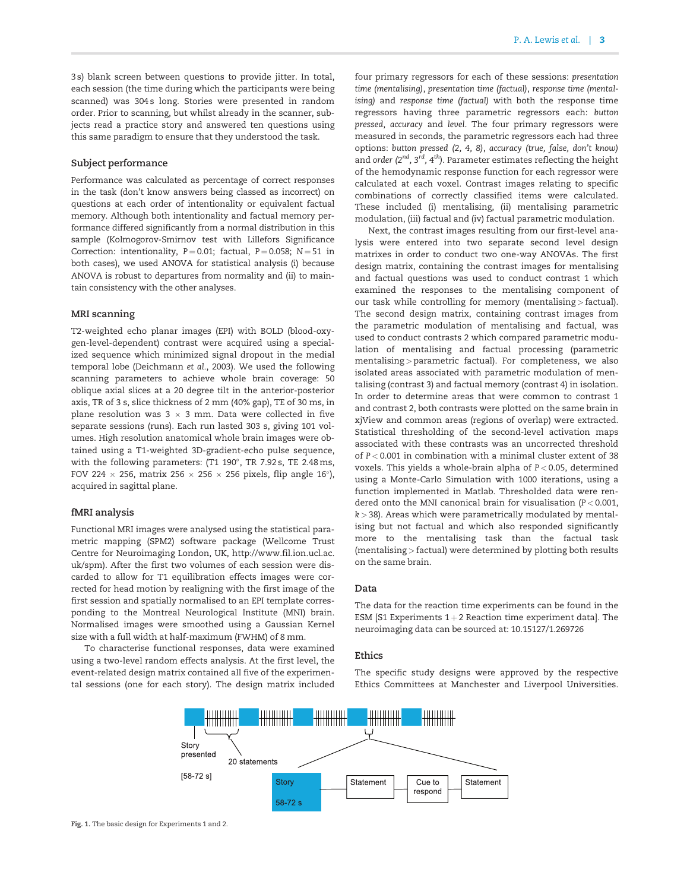#### <span id="page-2-0"></span>Subject performance

Performance was calculated as percentage of correct responses in the task (don't know answers being classed as incorrect) on questions at each order of intentionality or equivalent factual memory. Although both intentionality and factual memory performance differed significantly from a normal distribution in this sample (Kolmogorov-Smirnov test with Lillefors Significance Correction: intentionality,  $P = 0.01$ ; factual,  $P = 0.058$ ; N = 51 in both cases), we used ANOVA for statistical analysis (i) because ANOVA is robust to departures from normality and (ii) to maintain consistency with the other analyses.

## MRI scanning

T2-weighted echo planar images (EPI) with BOLD (blood-oxygen-level-dependent) contrast were acquired using a specialized sequence which minimized signal dropout in the medial temporal lobe [\(Deichmann](#page-7-0) et al., 2003). We used the following scanning parameters to achieve whole brain coverage: 50 oblique axial slices at a 20 degree tilt in the anterior-posterior axis, TR of 3 s, slice thickness of 2 mm (40% gap), TE of 30 ms, in plane resolution was  $3 \times 3$  mm. Data were collected in five separate sessions (runs). Each run lasted 303 s, giving 101 volumes. High resolution anatomical whole brain images were obtained using a T1-weighted 3D-gradient-echo pulse sequence, with the following parameters: (T1 190 $^{\circ}$ , TR 7.92 s, TE 2.48 ms, FOV 224  $\times$  256, matrix 256  $\times$  256  $\times$  256 pixels, flip angle 16°), acquired in sagittal plane.

#### fMRI analysis

Functional MRI images were analysed using the statistical parametric mapping (SPM2) software package (Wellcome Trust Centre for Neuroimaging London, UK, [http://www.fil.ion.ucl.ac.](http://www.fil.ion.ucl.ac.uk/spm) [uk/spm](http://www.fil.ion.ucl.ac.uk/spm)). After the first two volumes of each session were discarded to allow for T1 equilibration effects images were corrected for head motion by realigning with the first image of the first session and spatially normalised to an EPI template corresponding to the Montreal Neurological Institute (MNI) brain. Normalised images were smoothed using a Gaussian Kernel size with a full width at half-maximum (FWHM) of 8 mm.

To characterise functional responses, data were examined using a two-level random effects analysis. At the first level, the event-related design matrix contained all five of the experimental sessions (one for each story). The design matrix included

four primary regressors for each of these sessions: presentation time (mentalising), presentation time (factual), response time (mentalising) and response time (factual) with both the response time regressors having three parametric regressors each: button pressed, accuracy and level. The four primary regressors were measured in seconds, the parametric regressors each had three options: button pressed (2, 4, 8), accuracy (true, false, don't know) and order  $(2^{nd}, 3^{rd}, 4^{th})$ . Parameter estimates reflecting the height of the hemodynamic response function for each regressor were calculated at each voxel. Contrast images relating to specific combinations of correctly classified items were calculated. These included (i) mentalising, (ii) mentalising parametric modulation, (iii) factual and (iv) factual parametric modulation.

Next, the contrast images resulting from our first-level analysis were entered into two separate second level design matrixes in order to conduct two one-way ANOVAs. The first design matrix, containing the contrast images for mentalising and factual questions was used to conduct contrast 1 which examined the responses to the mentalising component of our task while controlling for memory (mentalising > factual). The second design matrix, containing contrast images from the parametric modulation of mentalising and factual, was used to conduct contrasts 2 which compared parametric modulation of mentalising and factual processing (parametric mentalising > parametric factual). For completeness, we also isolated areas associated with parametric modulation of mentalising (contrast 3) and factual memory (contrast 4) in isolation. In order to determine areas that were common to contrast 1 and contrast 2, both contrasts were plotted on the same brain in xjView and common areas (regions of overlap) were extracted. Statistical thresholding of the second-level activation maps associated with these contrasts was an uncorrected threshold of  $P < 0.001$  in combination with a minimal cluster extent of 38 voxels. This yields a whole-brain alpha of  $P < 0.05$ , determined using a Monte-Carlo Simulation with 1000 iterations, using a function implemented in Matlab. Thresholded data were rendered onto the MNI canonical brain for visualisation  $(P < 0.001$ ,  $k$  > 38). Areas which were parametrically modulated by mentalising but not factual and which also responded significantly more to the mentalising task than the factual task (mentalising > factual) were determined by plotting both results on the same brain.

## Data

The data for the reaction time experiments can be found in the ESM [S1 Experiments  $1+2$  Reaction time experiment data]. The neuroimaging data can be sourced at: 10.15127/1.269726

#### Ethics

The specific study designs were approved by the respective Ethics Committees at Manchester and Liverpool Universities.

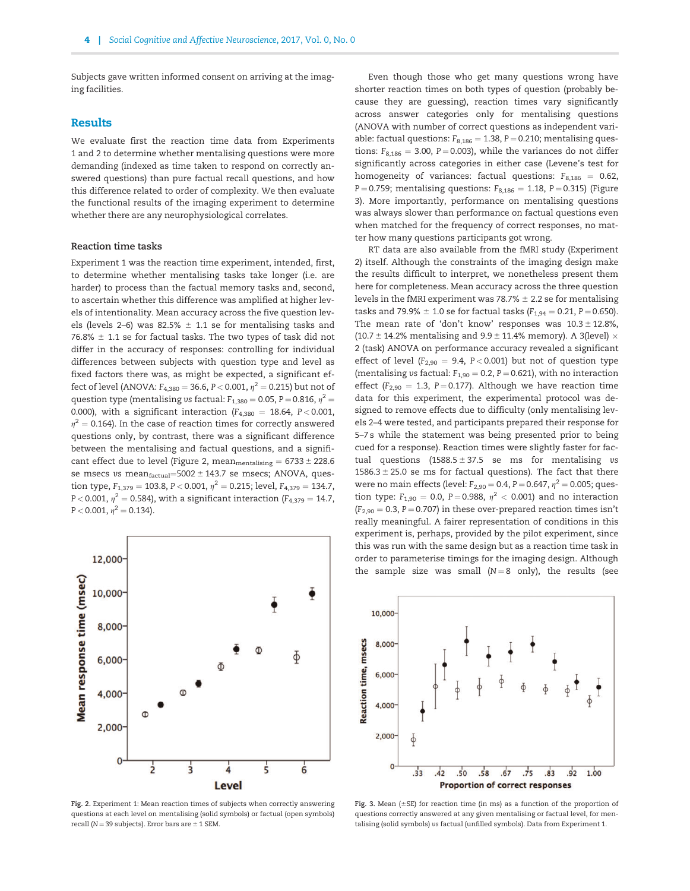<span id="page-3-0"></span>Subjects gave written informed consent on arriving at the imaging facilities.

# **Results**

We evaluate first the reaction time data from Experiments 1 and 2 to determine whether mentalising questions were more demanding (indexed as time taken to respond on correctly answered questions) than pure factual recall questions, and how this difference related to order of complexity. We then evaluate the functional results of the imaging experiment to determine whether there are any neurophysiological correlates.

#### Reaction time tasks

Experiment 1 was the reaction time experiment, intended, first, to determine whether mentalising tasks take longer (i.e. are harder) to process than the factual memory tasks and, second, to ascertain whether this difference was amplified at higher levels of intentionality. Mean accuracy across the five question levels (levels 2–6) was 82.5%  $\pm$  1.1 se for mentalising tasks and 76.8%  $\pm$  1.1 se for factual tasks. The two types of task did not differ in the accuracy of responses: controlling for individual differences between subjects with question type and level as fixed factors there was, as might be expected, a significant effect of level (ANOVA:  $F_{4,380} = 36.6$ ,  $P < 0.001$ ,  $\eta^2 = 0.215$ ) but not of question type (mentalising vs factual:  $F_{1,380} = 0.05$ , P = 0.816,  $\eta^2$  = 0.000), with a significant interaction ( $F_{4,380} = 18.64$ ,  $P < 0.001$ ,  $\eta^2$  = 0.164). In the case of reaction times for correctly answered questions only, by contrast, there was a significant difference between the mentalising and factual questions, and a significant effect due to level (Figure 2, mean $_{\text{mentaling}} = 6733 \pm 228.6$ se msecs vs mean $_{\text{factorial}} = 5002 \pm 143.7$  se msecs; ANOVA, question type,  $F_{1,379} = 103.8$ ,  $P < 0.001$ ,  $\eta^2 = 0.215$ ; level,  $F_{4,379} = 134.7$ , P < 0.001,  $\eta^2$  = 0.584), with a significant interaction (F<sub>4,379</sub> = 14.7,  $P < 0.001$ ,  $\eta^2 = 0.134$ ).



Fig. 2. Experiment 1: Mean reaction times of subjects when correctly answering questions at each level on mentalising (solid symbols) or factual (open symbols) recall ( $N = 39$  subjects). Error bars are  $\pm 1$  SEM.

Even though those who get many questions wrong have shorter reaction times on both types of question (probably because they are guessing), reaction times vary significantly across answer categories only for mentalising questions (ANOVA with number of correct questions as independent variable: factual questions:  $F_{8,186} = 1.38$ ,  $P = 0.210$ ; mentalising questions:  $F_{8,186} = 3.00$ , P = 0.003), while the variances do not differ significantly across categories in either case (Levene's test for homogeneity of variances: factual questions:  $F_{8,186} = 0.62$ , P = 0.759; mentalising questions:  $F_{8,186} = 1.18$ , P = 0.315) (Figure 3). More importantly, performance on mentalising questions was always slower than performance on factual questions even when matched for the frequency of correct responses, no matter how many questions participants got wrong.

RT data are also available from the fMRI study (Experiment 2) itself. Although the constraints of the imaging design make the results difficult to interpret, we nonetheless present them here for completeness. Mean accuracy across the three question levels in the fMRI experiment was 78.7%  $\pm$  2.2 se for mentalising tasks and 79.9%  $\pm$  1.0 se for factual tasks ( $F_{1,94} = 0.21$ , P = 0.650). The mean rate of 'don't know' responses was  $10.3 \pm 12.8$ %, (10.7  $\pm$  14.2% mentalising and 9.9  $\pm$  11.4% memory). A 3(level)  $\times$ 2 (task) ANOVA on performance accuracy revealed a significant effect of level ( $F_{2,90}$  = 9.4, P < 0.001) but not of question type (mentalising vs factual:  $F_{1,90} = 0.2$ ,  $P = 0.621$ ), with no interaction effect ( $F_{2,90} = 1.3$ ,  $P = 0.177$ ). Although we have reaction time data for this experiment, the experimental protocol was designed to remove effects due to difficulty (only mentalising levels 2–4 were tested, and participants prepared their response for 5–7 s while the statement was being presented prior to being cued for a response). Reaction times were slightly faster for factual questions (1588.5  $\pm$  37.5 se ms for mentalising vs  $1586.3 \pm 25.0$  se ms for factual questions). The fact that there were no main effects (level:  $F_{2,90} = 0.4$ ,  $P = 0.647$ ,  $\eta^2 = 0.005$ ; question type:  $F_{1,90} = 0.0$ , P = 0.988,  $\eta^2$  < 0.001) and no interaction  $(F_{2,90} = 0.3, P = 0.707)$  in these over-prepared reaction times isn't really meaningful. A fairer representation of conditions in this experiment is, perhaps, provided by the pilot experiment, since this was run with the same design but as a reaction time task in order to parameterise timings for the imaging design. Although the sample size was small ( $N = 8$  only), the results (see



Fig. 3. Mean ( $\pm$ SE) for reaction time (in ms) as a function of the proportion of questions correctly answered at any given mentalising or factual level, for mentalising (solid symbols) vs factual (unfilled symbols). Data from Experiment 1.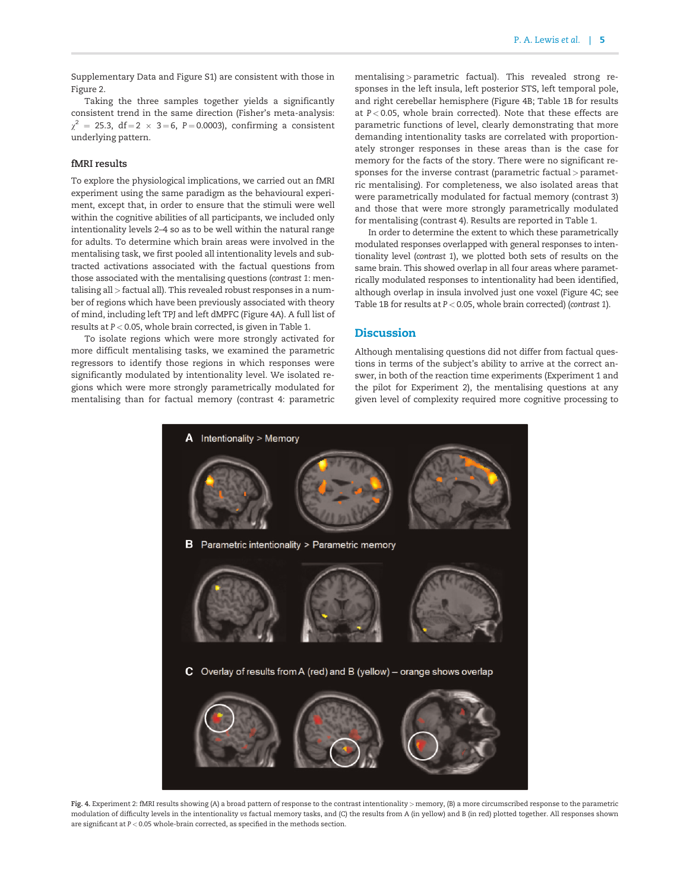<span id="page-4-0"></span>Supplementary Data and Figure S1) are consistent with those in [Figure 2.](#page-3-0)

Taking the three samples together yields a significantly consistent trend in the same direction (Fisher's meta-analysis:  $\chi^2$  = 25.3, df = 2 × 3 = 6, P = 0.0003), confirming a consistent underlying pattern.

## fMRI results

To explore the physiological implications, we carried out an fMRI experiment using the same paradigm as the behavioural experiment, except that, in order to ensure that the stimuli were well within the cognitive abilities of all participants, we included only intentionality levels 2–4 so as to be well within the natural range for adults. To determine which brain areas were involved in the mentalising task, we first pooled all intentionality levels and subtracted activations associated with the factual questions from those associated with the mentalising questions (contrast 1: mentalising all > factual all). This revealed robust responses in a number of regions which have been previously associated with theory of mind, including left TPJ and left dMPFC (Figure 4A). A full list of results at P < 0.05, whole brain corrected, is given in [Table 1.](#page-5-0)

To isolate regions which were more strongly activated for more difficult mentalising tasks, we examined the parametric regressors to identify those regions in which responses were significantly modulated by intentionality level. We isolated regions which were more strongly parametrically modulated for mentalising than for factual memory (contrast 4: parametric mentalising > parametric factual). This revealed strong responses in the left insula, left posterior STS, left temporal pole, and right cerebellar hemisphere (Figure 4B; [Table 1B](#page-5-0) for results at  $P < 0.05$ , whole brain corrected). Note that these effects are parametric functions of level, clearly demonstrating that more demanding intentionality tasks are correlated with proportionately stronger responses in these areas than is the case for memory for the facts of the story. There were no significant responses for the inverse contrast (parametric factual > parametric mentalising). For completeness, we also isolated areas that were parametrically modulated for factual memory (contrast 3) and those that were more strongly parametrically modulated for mentalising (contrast 4). Results are reported in [Table 1](#page-5-0).

In order to determine the extent to which these parametrically modulated responses overlapped with general responses to intentionality level (contrast 1), we plotted both sets of results on the same brain. This showed overlap in all four areas where parametrically modulated responses to intentionality had been identified, although overlap in insula involved just one voxel (Figure 4C; see [Table 1B](#page-5-0) for results at  $P < 0.05$ , whole brain corrected) (contrast 1).

## **Discussion**

Although mentalising questions did not differ from factual questions in terms of the subject's ability to arrive at the correct answer, in both of the reaction time experiments (Experiment 1 and the pilot for Experiment 2), the mentalising questions at any given level of complexity required more cognitive processing to



Fig. 4. Experiment 2: fMRI results showing (A) a broad pattern of response to the contrast intentionality >memory, (B) a more circumscribed response to the parametric modulation of difficulty levels in the intentionality vs factual memory tasks, and (C) the results from A (in yellow) and B (in red) plotted together. All responses shown are significant at  $P < 0.05$  whole-brain corrected, as specified in the methods section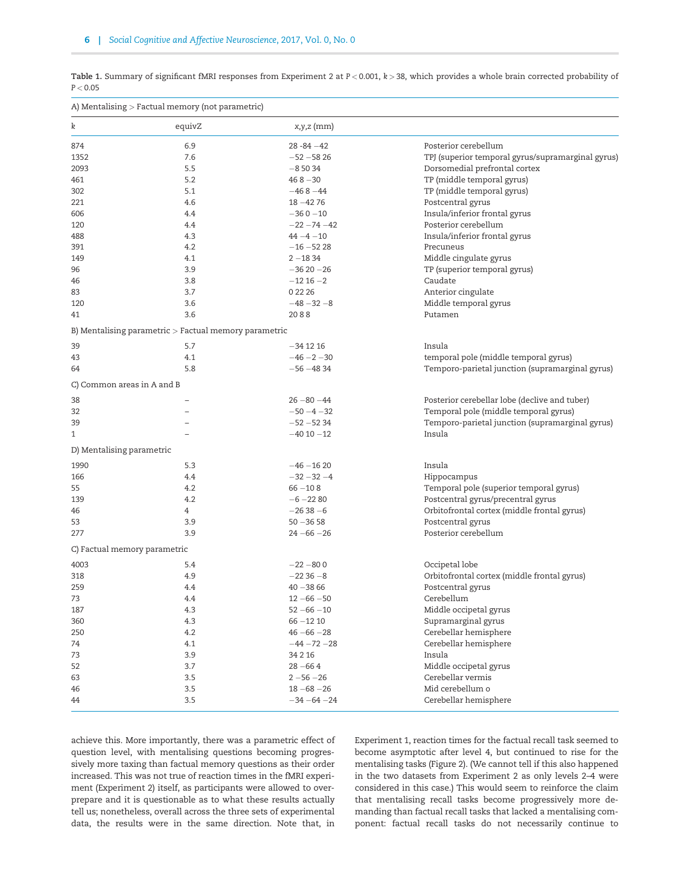| A) Mentalising > Factual memory (not parametric) |                                                       |                 |                                                   |
|--------------------------------------------------|-------------------------------------------------------|-----------------|---------------------------------------------------|
| k                                                | equivZ                                                | $x,y,z$ (mm)    |                                                   |
| 874                                              | 6.9                                                   | $28 - 84 - 42$  | Posterior cerebellum                              |
| 1352                                             | 7.6                                                   | $-52 - 5826$    | TPJ (superior temporal gyrus/supramarginal gyrus) |
| 2093                                             | 5.5                                                   | $-85034$        | Dorsomedial prefrontal cortex                     |
| 461                                              | 5.2                                                   | $468 - 30$      | TP (middle temporal gyrus)                        |
| 302                                              | 5.1                                                   | $-468 - 44$     | TP (middle temporal gyrus)                        |
| 221                                              | 4.6                                                   | $18 - 4276$     | Postcentral gyrus                                 |
| 606                                              | 4.4                                                   | $-360 - 10$     | Insula/inferior frontal gyrus                     |
| 120                                              | 4.4                                                   | $-22 - 74 - 42$ | Posterior cerebellum                              |
| 488                                              | 4.3                                                   | $44 - 4 - 10$   | Insula/inferior frontal gyrus                     |
| 391                                              | 4.2                                                   | $-16 - 5228$    | Precuneus                                         |
| 149                                              | 4.1                                                   | $2 - 1834$      | Middle cingulate gyrus                            |
| 96                                               | 3.9                                                   | $-3620 - 26$    | TP (superior temporal gyrus)                      |
| 46                                               | 3.8                                                   | $-1216-2$       | Caudate                                           |
| 83                                               | 3.7                                                   | 0 22 26         | Anterior cingulate                                |
| 120                                              | 3.6                                                   | $-48 - 32 - 8$  | Middle temporal gyrus                             |
| 41                                               | 3.6                                                   | 2088            | Putamen                                           |
|                                                  | B) Mentalising parametric > Factual memory parametric |                 |                                                   |
| 39                                               | 5.7                                                   | $-34$ 12 16     | Insula                                            |
| 43                                               | 4.1                                                   | $-46 - 2 - 30$  | temporal pole (middle temporal gyrus)             |
| 64                                               | 5.8                                                   | $-56 - 4834$    | Temporo-parietal junction (supramarginal gyrus)   |
| C) Common areas in A and B                       |                                                       |                 |                                                   |
|                                                  |                                                       |                 |                                                   |
| 38                                               |                                                       | $26 - 80 - 44$  | Posterior cerebellar lobe (declive and tuber)     |
| 32                                               |                                                       | $-50 - 4 - 32$  | Temporal pole (middle temporal gyrus)             |
| 39                                               |                                                       | $-52 - 5234$    | Temporo-parietal junction (supramarginal gyrus)   |
| 1                                                |                                                       | $-4010 - 12$    | Insula                                            |
| D) Mentalising parametric                        |                                                       |                 |                                                   |
| 1990                                             | 5.3                                                   | $-46 - 1620$    | Insula                                            |
| 166                                              | 4.4                                                   | $-32 - 32 - 4$  | Hippocampus                                       |
| 55                                               | 4.2                                                   | $66 - 108$      | Temporal pole (superior temporal gyrus)           |
| 139                                              | 4.2                                                   | $-6 - 2280$     | Postcentral gyrus/precentral gyrus                |
| 46                                               | 4                                                     | $-2638-6$       | Orbitofrontal cortex (middle frontal gyrus)       |
| 53                                               | 3.9                                                   | $50 - 3658$     | Postcentral gyrus                                 |
| 277                                              | 3.9                                                   | $24 - 66 - 26$  | Posterior cerebellum                              |
| C) Factual memory parametric                     |                                                       |                 |                                                   |
| 4003                                             | 5.4                                                   | $-22 - 800$     | Occipetal lobe                                    |
| 318                                              | 4.9                                                   | $-2236-8$       | Orbitofrontal cortex (middle frontal gyrus)       |
| 259                                              | 4.4                                                   | $40 - 3866$     | Postcentral gyrus                                 |
| 73                                               | 4.4                                                   | $12 - 66 - 50$  | Cerebellum                                        |
| 187                                              | 4.3                                                   | $52 - 66 - 10$  | Middle occipetal gyrus                            |
| 360                                              | 4.3                                                   | $66 - 1210$     | Supramarginal gyrus                               |
| 250                                              | 4.2                                                   | $46 - 66 - 28$  | Cerebellar hemisphere                             |
| 74                                               | 4.1                                                   | $-44 - 72 - 28$ | Cerebellar hemisphere                             |
| 73                                               | 3.9                                                   | 34 2 16         | Insula                                            |
| 52                                               | 3.7                                                   | $28 - 664$      | Middle occipetal gyrus                            |
| 63                                               | 3.5                                                   | $2 - 56 - 26$   | Cerebellar vermis                                 |
| 46                                               | 3.5                                                   | $18 - 68 - 26$  | Mid cerebellum o                                  |
| 44                                               | 3.5                                                   | $-34 - 64 - 24$ | Cerebellar hemisphere                             |
|                                                  |                                                       |                 |                                                   |

<span id="page-5-0"></span>Table 1. Summary of significant fMRI responses from Experiment 2 at P < 0.001, k > 38, which provides a whole brain corrected probability of  $P < 0.05$ 

achieve this. More importantly, there was a parametric effect of question level, with mentalising questions becoming progressively more taxing than factual memory questions as their order increased. This was not true of reaction times in the fMRI experiment (Experiment 2) itself, as participants were allowed to overprepare and it is questionable as to what these results actually tell us; nonetheless, overall across the three sets of experimental data, the results were in the same direction. Note that, in Experiment 1, reaction times for the factual recall task seemed to become asymptotic after level 4, but continued to rise for the mentalising tasks ([Figure 2](#page-3-0)). (We cannot tell if this also happened in the two datasets from Experiment 2 as only levels 2–4 were considered in this case.) This would seem to reinforce the claim that mentalising recall tasks become progressively more demanding than factual recall tasks that lacked a mentalising component: factual recall tasks do not necessarily continue to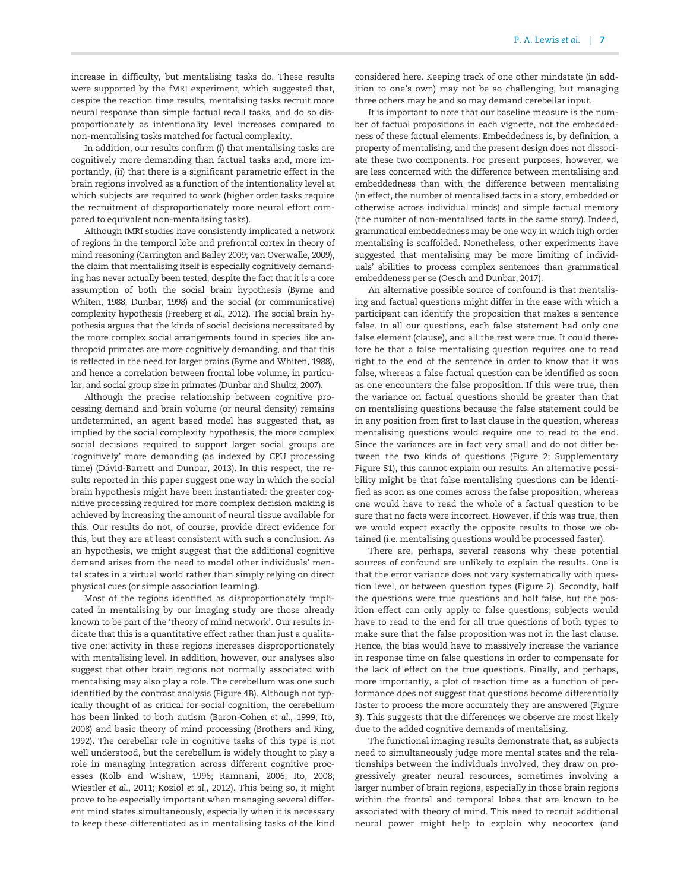increase in difficulty, but mentalising tasks do. These results were supported by the fMRI experiment, which suggested that, despite the reaction time results, mentalising tasks recruit more neural response than simple factual recall tasks, and do so disproportionately as intentionality level increases compared to non-mentalising tasks matched for factual complexity.

In addition, our results confirm (i) that mentalising tasks are cognitively more demanding than factual tasks and, more importantly, (ii) that there is a significant parametric effect in the brain regions involved as a function of the intentionality level at which subjects are required to work (higher order tasks require the recruitment of disproportionately more neural effort compared to equivalent non-mentalising tasks).

Although fMRI studies have consistently implicated a network of regions in the temporal lobe and prefrontal cortex in theory of mind reasoning [\(Carrington and Bailey 2009](#page-7-0); [van Overwalle, 2009\)](#page-8-0), the claim that mentalising itself is especially cognitively demanding has never actually been tested, despite the fact that it is a core assumption of both the social brain hypothesis [\(Byrne and](#page-7-0) [Whiten, 1988](#page-7-0); [Dunbar, 1998\)](#page-7-0) and the social (or communicative) complexity hypothesis [\(Freeberg](#page-7-0) et al., 2012). The social brain hypothesis argues that the kinds of social decisions necessitated by the more complex social arrangements found in species like anthropoid primates are more cognitively demanding, and that this is reflected in the need for larger brains ([Byrne and Whiten, 1988\)](#page-7-0), and hence a correlation between frontal lobe volume, in particular, and social group size in primates [\(Dunbar and Shultz, 2007\)](#page-7-0).

Although the precise relationship between cognitive processing demand and brain volume (or neural density) remains undetermined, an agent based model has suggested that, as implied by the social complexity hypothesis, the more complex social decisions required to support larger social groups are 'cognitively' more demanding (as indexed by CPU processing time) ([D](#page-7-0)á[vid-Barrett and Dunbar, 2013\)](#page-7-0). In this respect, the results reported in this paper suggest one way in which the social brain hypothesis might have been instantiated: the greater cognitive processing required for more complex decision making is achieved by increasing the amount of neural tissue available for this. Our results do not, of course, provide direct evidence for this, but they are at least consistent with such a conclusion. As an hypothesis, we might suggest that the additional cognitive demand arises from the need to model other individuals' mental states in a virtual world rather than simply relying on direct physical cues (or simple association learning).

Most of the regions identified as disproportionately implicated in mentalising by our imaging study are those already known to be part of the 'theory of mind network'. Our results indicate that this is a quantitative effect rather than just a qualitative one: activity in these regions increases disproportionately with mentalising level. In addition, however, our analyses also suggest that other brain regions not normally associated with mentalising may also play a role. The cerebellum was one such identified by the contrast analysis ([Figure 4B](#page-4-0)). Although not typically thought of as critical for social cognition, the cerebellum has been linked to both autism ([Baron-Cohen](#page-7-0) et al., 1999; [Ito,](#page-7-0) [2008\)](#page-7-0) and basic theory of mind processing ([Brothers and Ring,](#page-7-0) [1992\)](#page-7-0). The cerebellar role in cognitive tasks of this type is not well understood, but the cerebellum is widely thought to play a role in managing integration across different cognitive processes ([Kolb and Wishaw, 1996](#page-7-0); [Ramnani, 2006;](#page-8-0) [Ito, 2008](#page-7-0); [Wiestler](#page-8-0) et al., 2011; [Koziol](#page-7-0) et al., 2012). This being so, it might prove to be especially important when managing several different mind states simultaneously, especially when it is necessary to keep these differentiated as in mentalising tasks of the kind considered here. Keeping track of one other mindstate (in addition to one's own) may not be so challenging, but managing three others may be and so may demand cerebellar input.

It is important to note that our baseline measure is the number of factual propositions in each vignette, not the embeddedness of these factual elements. Embeddedness is, by definition, a property of mentalising, and the present design does not dissociate these two components. For present purposes, however, we are less concerned with the difference between mentalising and embeddedness than with the difference between mentalising (in effect, the number of mentalised facts in a story, embedded or otherwise across individual minds) and simple factual memory (the number of non-mentalised facts in the same story). Indeed, grammatical embeddedness may be one way in which high order mentalising is scaffolded. Nonetheless, other experiments have suggested that mentalising may be more limiting of individuals' abilities to process complex sentences than grammatical embeddeness per se ([Oesch and Dunbar, 2017\)](#page-7-0).

An alternative possible source of confound is that mentalising and factual questions might differ in the ease with which a participant can identify the proposition that makes a sentence false. In all our questions, each false statement had only one false element (clause), and all the rest were true. It could therefore be that a false mentalising question requires one to read right to the end of the sentence in order to know that it was false, whereas a false factual question can be identified as soon as one encounters the false proposition. If this were true, then the variance on factual questions should be greater than that on mentalising questions because the false statement could be in any position from first to last clause in the question, whereas mentalising questions would require one to read to the end. Since the variances are in fact very small and do not differ between the two kinds of questions [\(Figure 2](#page-3-0); Supplementary Figure S1), this cannot explain our results. An alternative possibility might be that false mentalising questions can be identified as soon as one comes across the false proposition, whereas one would have to read the whole of a factual question to be sure that no facts were incorrect. However, if this was true, then we would expect exactly the opposite results to those we obtained (i.e. mentalising questions would be processed faster).

There are, perhaps, several reasons why these potential sources of confound are unlikely to explain the results. One is that the error variance does not vary systematically with question level, or between question types ([Figure 2](#page-3-0)). Secondly, half the questions were true questions and half false, but the position effect can only apply to false questions; subjects would have to read to the end for all true questions of both types to make sure that the false proposition was not in the last clause. Hence, the bias would have to massively increase the variance in response time on false questions in order to compensate for the lack of effect on the true questions. Finally, and perhaps, more importantly, a plot of reaction time as a function of performance does not suggest that questions become differentially faster to process the more accurately they are answered [\(Figure](#page-3-0) [3](#page-3-0)). This suggests that the differences we observe are most likely due to the added cognitive demands of mentalising.

The functional imaging results demonstrate that, as subjects need to simultaneously judge more mental states and the relationships between the individuals involved, they draw on progressively greater neural resources, sometimes involving a larger number of brain regions, especially in those brain regions within the frontal and temporal lobes that are known to be associated with theory of mind. This need to recruit additional neural power might help to explain why neocortex (and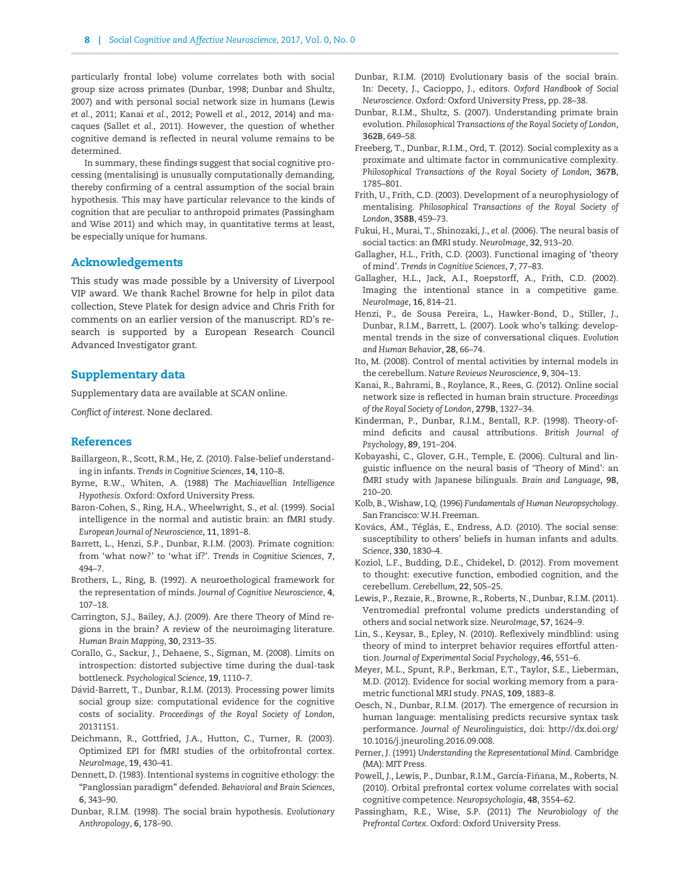<span id="page-7-0"></span>particularly frontal lobe) volume correlates both with social group size across primates (Dunbar, 1998; Dunbar and Shultz, 2007) and with personal social network size in humans (Lewis et al., 2011; Kanai et al., 2012; [Powell](#page-8-0) et al., 2012, [2014](#page-8-0)) and macaques (Sallet et al.[, 2011](#page-8-0)). However, the question of whether cognitive demand is reflected in neural volume remains to be determined.

In summary, these findings suggest that social cognitive processing (mentalising) is unusually computationally demanding, thereby confirming of a central assumption of the social brain hypothesis. This may have particular relevance to the kinds of cognition that are peculiar to anthropoid primates (Passingham and Wise 2011) and which may, in quantitative terms at least, be especially unique for humans.

## Acknowledgements

This study was made possible by a University of Liverpool VIP award. We thank Rachel Browne for help in pilot data collection, Steve Platek for design advice and Chris Frith for comments on an earlier version of the manuscript. RD's research is supported by a European Research Council Advanced Investigator grant.

# Supplementary data

Supplementary data are available at SCAN online.

Conflict of interest. None declared.

## **References**

- Baillargeon, R., Scott, R.M., He, Z. (2010). False-belief understanding in infants. Trends in Cognitive Sciences, 14, 110–8.
- Byrne, R.W., Whiten, A. (1988) The Machiavellian Intelligence Hypothesis. Oxford: Oxford University Press.
- Baron-Cohen, S., Ring, H.A., Wheelwright, S., et al. (1999). Social intelligence in the normal and autistic brain: an fMRI study. European Journal of Neuroscience, 11, 1891–8.
- Barrett, L., Henzi, S.P., Dunbar, R.I.M. (2003). Primate cognition: from 'what now?' to 'what if?'. Trends in Cognitive Sciences, 7, 494–7.
- Brothers, L., Ring, B. (1992). A neuroethological framework for the representation of minds. Journal of Cognitive Neuroscience, 4, 107–18.
- Carrington, S.J., Bailey, A.J. (2009). Are there Theory of Mind regions in the brain? A review of the neuroimaging literature. Human Brain Mapping, 30, 2313–35.
- Corallo, G., Sackur, J., Dehaene, S., Sigman, M. (2008). Limits on introspection: distorted subjective time during the dual-task bottleneck. Psychological Science, 19, 1110–7.
- Dávid-Barrett, T., Dunbar, R.I.M. (2013). Processing power limits social group size: computational evidence for the cognitive costs of sociality. Proceedings of the Royal Society of London, 20131151.
- Deichmann, R., Gottfried, J.A., Hutton, C., Turner, R. (2003). Optimized EPI for fMRI studies of the orbitofrontal cortex. NeuroImage, 19, 430–41.
- Dennett, D. (1983). Intentional systems in cognitive ethology: the "Panglossian paradigm" defended. Behavioral and Brain Sciences, 6, 343–90.
- Dunbar, R.I.M. (1998). The social brain hypothesis. Evolutionary Anthropology, 6, 178–90.
- Dunbar, R.I.M. (2010) Evolutionary basis of the social brain. In: Decety, J., Cacioppo, J., editors. Oxford Handbook of Social Neuroscience. Oxford: Oxford University Press, pp. 28–38.
- Dunbar, R.I.M., Shultz, S. (2007). Understanding primate brain evolution. Philosophical Transactions of the Royal Society of London, 362B, 649–58.
- Freeberg, T., Dunbar, R.I.M., Ord, T. (2012). Social complexity as a proximate and ultimate factor in communicative complexity. Philosophical Transactions of the Royal Society of London, 367B, 1785–801.
- Frith, U., Frith, C.D. (2003). Development of a neurophysiology of mentalising. Philosophical Transactions of the Royal Society of London, 358B, 459–73.
- Fukui, H., Murai, T., Shinozaki, J., et al. (2006). The neural basis of social tactics: an fMRI study. NeuroImage, 32, 913–20.
- Gallagher, H.L., Frith, C.D. (2003). Functional imaging of 'theory of mind'. Trends in Cognitive Sciences, 7, 77–83.
- Gallagher, H.L., Jack, A.I., Roepstorff, A., Frith, C.D. (2002). Imaging the intentional stance in a competitive game. NeuroImage, 16, 814–21.
- Henzi, P., de Sousa Pereira, L., Hawker-Bond, D., Stiller, J., Dunbar, R.I.M., Barrett, L. (2007). Look who's talking: developmental trends in the size of conversational cliques. Evolution and Human Behavior, 28, 66–74.
- Ito, M. (2008). Control of mental activities by internal models in the cerebellum. Nature Reviews Neuroscience, 9, 304–13.
- Kanai, R., Bahrami, B., Roylance, R., Rees, G. (2012). Online social network size is reflected in human brain structure. Proceedings of the Royal Society of London, 279B, 1327–34.
- Kinderman, P., Dunbar, R.I.M., Bentall, R.P. (1998). Theory-ofmind deficits and causal attributions. British Journal of Psychology, 89, 191–204.
- Kobayashi, C., Glover, G.H., Temple, E. (2006). Cultural and linguistic influence on the neural basis of 'Theory of Mind': an fMRI study with Japanese bilinguals. Brain and Language, 98, 210–20.
- Kolb, B., Wishaw, I.Q. (1996) Fundamentals of Human Neuropsychology. San Francisco: W.H. Freeman.
- Kovács, ÁM., Téglás, E., Endress, A.D. (2010). The social sense: susceptibility to others' beliefs in human infants and adults. Science, 330, 1830–4.
- Koziol, L.F., Budding, D.E., Chidekel, D. (2012). From movement to thought: executive function, embodied cognition, and the cerebellum. Cerebellum, 22, 505–25.
- Lewis, P., Rezaie, R., Browne, R., Roberts, N., Dunbar, R.I.M. (2011). Ventromedial prefrontal volume predicts understanding of others and social network size. NeuroImage, 57, 1624–9.
- Lin, S., Keysar, B., Epley, N. (2010). Reflexively mindblind: using theory of mind to interpret behavior requires effortful attention. Journal of Experimental Social Psychology, 46, 551–6.
- Meyer, M.L., Spunt, R.P., Berkman, E.T., Taylor, S.E., Lieberman, M.D. (2012). Evidence for social working memory from a parametric functional MRI study. PNAS, 109, 1883–8.
- Oesch, N., Dunbar, R.I.M. (2017). The emergence of recursion in human language: mentalising predicts recursive syntax task performance. Journal of Neurolinguistics, doi: http://dx.doi.org/ 10.1016/j.jneuroling.2016.09.008.
- Perner, J. (1991) Understanding the Representational Mind. Cambridge (MA): MIT Press.
- Powell, J., Lewis, P., Dunbar, R.I.M., García-Fiñana, M., Roberts, N. (2010). Orbital prefrontal cortex volume correlates with social cognitive competence. Neuropsychologia, 48, 3554–62.
- Passingham, R.E., Wise, S.P. (2011) The Neurobiology of the Prefrontal Cortex. Oxford: Oxford University Press.